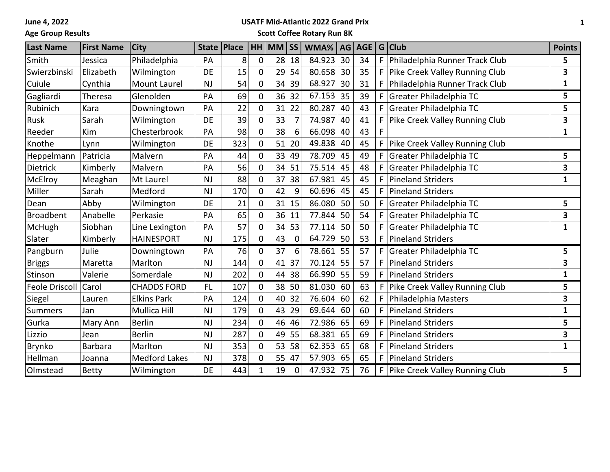**June 4, 2022**

## **Age Group Results**

## **USATF Mid-Atlantic 2022 Grand Prix**

**Scott Coffee Rotary Run 8K**

| <b>Last Name</b>      | <b>First Name</b> | <b>City</b>          |           | State   Place |                | $HH$ MM $ SS $ |             | WMA%   AG   AGE   G   Club |    |    |    |                                | <b>Points</b> |
|-----------------------|-------------------|----------------------|-----------|---------------|----------------|----------------|-------------|----------------------------|----|----|----|--------------------------------|---------------|
| Smith                 | Jessica           | Philadelphia         | PA        | 8             | $\overline{0}$ | 28             | 18          | 84.923                     | 30 | 34 | F  | Philadelphia Runner Track Club | 5             |
| Swierzbinski          | Elizabeth         | Wilmington           | <b>DE</b> | 15            | $\mathbf{0}$   | 29             | 54          | 80.658                     | 30 | 35 | F  | Pike Creek Valley Running Club | 3             |
| Cuiule                | Cynthia           | Mount Laurel         | <b>NJ</b> | 54            | 0              | 34             | 39          | 68.927                     | 30 | 31 | F  | Philadelphia Runner Track Club | $\mathbf{1}$  |
| Gagliardi             | Theresa           | Glenolden            | PA        | 69            | $\mathbf{0}$   | 36             | 32          | 67.153                     | 35 | 39 | F  | Greater Philadelphia TC        | 5             |
| Rubinich              | Kara              | Downingtown          | PA        | 22            | 0              | 31             | 22          | 80.287                     | 40 | 43 | F  | Greater Philadelphia TC        | 5             |
| Rusk                  | Sarah             | Wilmington           | DE        | 39            | 0              | 33             |             | 74.987                     | 40 | 41 |    | Pike Creek Valley Running Club | 3             |
| Reeder                | Kim               | Chesterbrook         | PA        | 98            | 0              | 38             | 6           | 66.098                     | 40 | 43 |    |                                | $\mathbf{1}$  |
| Knothe                | Lynn              | Wilmington           | DE        | 323           | $\mathbf{0}$   | 51             | 20          | 49.838                     | 40 | 45 | F  | Pike Creek Valley Running Club |               |
| Heppelmann            | Patricia          | Malvern              | PA        | 44            | 0              | 33             | 49          | 78.709 45                  |    | 49 |    | Greater Philadelphia TC        | 5             |
| <b>Dietrick</b>       | Kimberly          | Malvern              | PA        | 56            | $\mathbf{0}$   | 34             | 51          | 75.514                     | 45 | 48 | F  | Greater Philadelphia TC        | 3             |
| McElroy               | Meaghan           | Mt Laurel            | NJ        | 88            | $\mathbf{0}$   | 37             | 38          | 67.981                     | 45 | 45 | F  | <b>Pineland Striders</b>       | 1             |
| Miller                | Sarah             | Medford              | <b>NJ</b> | 170           | 0              | 42             | 9           | 60.696                     | 45 | 45 | F  | Pineland Striders              |               |
| Dean                  | Abby              | Wilmington           | DE        | 21            | $\mathbf{0}$   | 31             | 15          | 86.080                     | 50 | 50 | F  | Greater Philadelphia TC        | 5             |
| <b>Broadbent</b>      | Anabelle          | Perkasie             | PA        | 65            | $\mathbf{0}$   | 36             | 11          | 77.844                     | 50 | 54 | F  | Greater Philadelphia TC        | 3             |
| McHugh                | Siobhan           | Line Lexington       | PA        | 57            | 0              | 34             | 53          | 77.114                     | 50 | 50 | F  | Greater Philadelphia TC        | $\mathbf{1}$  |
| Slater                | Kimberly          | <b>HAINESPORT</b>    | <b>NJ</b> | 175           | 0              | 43             | $\mathbf 0$ | 64.729                     | 50 | 53 | F  | <b>Pineland Striders</b>       |               |
| Pangburn              | Julie             | Downingtown          | PA        | 76            | 0              | 37             | 6           | 78.661                     | 55 | 57 | F. | Greater Philadelphia TC        | 5             |
| <b>Briggs</b>         | Maretta           | Marlton              | <b>NJ</b> | 144           | 0              | 41             | 37          | 70.124                     | 55 | 57 | F  | <b>Pineland Striders</b>       | 3             |
| Stinson               | Valerie           | Somerdale            | <b>NJ</b> | 202           | 0              | 44             | 38          | 66.990                     | 55 | 59 | F  | <b>Pineland Striders</b>       | $\mathbf{1}$  |
| <b>Feole Driscoll</b> | Carol             | <b>CHADDS FORD</b>   | <b>FL</b> | 107           | 0              | 38             | 50          | 81.030                     | 60 | 63 | F. | Pike Creek Valley Running Club | 5             |
| Siegel                | Lauren            | <b>Elkins Park</b>   | PA        | 124           | $\mathbf{0}$   |                | 40 32       | 76.604                     | 60 | 62 | F  | Philadelphia Masters           | 3             |
| Summers               | Jan               | Mullica Hill         | <b>NJ</b> | 179           | $\overline{0}$ | 43             | 29          | 69.644                     | 60 | 60 | F  | <b>Pineland Striders</b>       | $\mathbf{1}$  |
| Gurka                 | Mary Ann          | <b>Berlin</b>        | <b>NJ</b> | 234           | $\overline{0}$ | 46             | 46          | 72.986                     | 65 | 69 | F  | Pineland Striders              | 5             |
| Lizzio                | Jean              | <b>Berlin</b>        | <b>NJ</b> | 287           | 0              | 49             | 55          | 68.381                     | 65 | 69 | F  | <b>Pineland Striders</b>       | 3             |
| <b>Brynko</b>         | <b>Barbara</b>    | Marlton              | <b>NJ</b> | 353           | $\mathbf{0}$   | 53             | 58          | 62.353                     | 65 | 68 | F  | <b>Pineland Striders</b>       | $\mathbf{1}$  |
| Hellman               | Joanna            | <b>Medford Lakes</b> | <b>NJ</b> | 378           | 0              | 55             | 47          | 57.903                     | 65 | 65 | F  | <b>Pineland Striders</b>       |               |
| Olmstead              | <b>Betty</b>      | Wilmington           | DE        | 443           |                | 19             | $\mathbf 0$ | 47.932                     | 75 | 76 | F  | Pike Creek Valley Running Club | 5             |